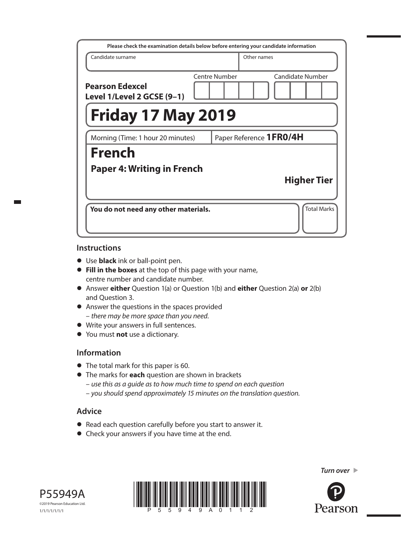|                                                      | Please check the examination details below before entering your candidate information |
|------------------------------------------------------|---------------------------------------------------------------------------------------|
| Candidate surname                                    | Other names                                                                           |
|                                                      |                                                                                       |
|                                                      | Centre Number<br>Candidate Number                                                     |
| <b>Pearson Edexcel</b><br>Level 1/Level 2 GCSE (9-1) |                                                                                       |
| Friday 17 May 2019                                   |                                                                                       |
| Morning (Time: 1 hour 20 minutes)                    | Paper Reference 1FR0/4H                                                               |
| <b>French</b>                                        |                                                                                       |
| <b>Paper 4: Writing in French</b>                    |                                                                                       |
|                                                      | <b>Higher Tier</b>                                                                    |
|                                                      |                                                                                       |
| You do not need any other materials.                 | <b>Total Marks</b>                                                                    |

## **Instructions**

- **•** Use **black** ink or ball-point pen.
- **• Fill in the boxes** at the top of this page with your name, centre number and candidate number.
- **•** Answer **either** Question 1(a) or Question 1(b) and **either** Question 2(a) **or** 2(b) and Question 3.
- **•** Answer the questions in the spaces provided – *there may be more space than you need*.
- **•** Write your answers in full sentences.
- **•** You must **not** use a dictionary.

## **Information**

- **•** The total mark for this paper is 60.
- **•** The marks for **each** question are shown in brackets
	- *use this as a guide as to how much time to spend on each question*
	- *you should spend approximately 15 minutes on the translation question.*

# **Advice**

- **•** Read each question carefully before you start to answer it.
- **•** Check your answers if you have time at the end.





*Turn over* 

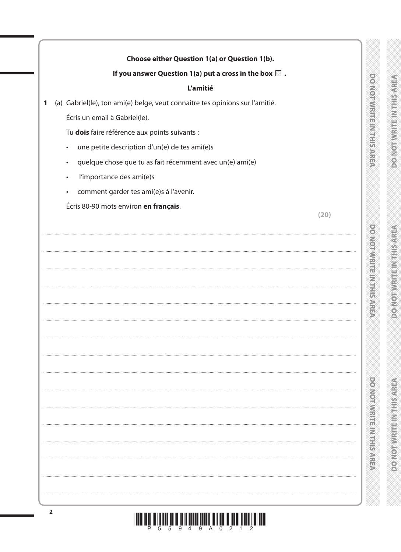| ć      |  |    |  |  |
|--------|--|----|--|--|
|        |  |    |  |  |
|        |  |    |  |  |
|        |  |    |  |  |
|        |  |    |  |  |
|        |  |    |  |  |
|        |  |    |  |  |
|        |  |    |  |  |
|        |  |    |  |  |
|        |  |    |  |  |
|        |  |    |  |  |
|        |  | I  |  |  |
|        |  |    |  |  |
|        |  |    |  |  |
|        |  |    |  |  |
|        |  |    |  |  |
|        |  |    |  |  |
|        |  |    |  |  |
| くうこう   |  |    |  |  |
|        |  |    |  |  |
|        |  |    |  |  |
|        |  |    |  |  |
|        |  |    |  |  |
|        |  | ì  |  |  |
| in and |  |    |  |  |
|        |  |    |  |  |
|        |  |    |  |  |
|        |  |    |  |  |
|        |  |    |  |  |
|        |  |    |  |  |
|        |  |    |  |  |
|        |  |    |  |  |
|        |  |    |  |  |
|        |  |    |  |  |
|        |  |    |  |  |
| i<br>S |  |    |  |  |
|        |  |    |  |  |
|        |  |    |  |  |
|        |  |    |  |  |
|        |  |    |  |  |
|        |  |    |  |  |
|        |  |    |  |  |
|        |  |    |  |  |
|        |  |    |  |  |
| in a   |  |    |  |  |
|        |  |    |  |  |
|        |  |    |  |  |
|        |  |    |  |  |
| is and |  |    |  |  |
|        |  |    |  |  |
|        |  |    |  |  |
|        |  |    |  |  |
|        |  |    |  |  |
|        |  |    |  |  |
|        |  |    |  |  |
|        |  |    |  |  |
|        |  |    |  |  |
|        |  |    |  |  |
|        |  |    |  |  |
|        |  | 'n |  |  |
|        |  |    |  |  |
|        |  |    |  |  |
|        |  |    |  |  |
|        |  |    |  |  |
|        |  |    |  |  |
|        |  |    |  |  |
|        |  |    |  |  |
| ś      |  |    |  |  |

**DOMOTIVES IN THE MARKET SAMPLE** 

**DOMORATION FRIENDS** 

**DO NOT MARKET AND A STATE OF SALE** 

# If you answer Question 1(a) put a cross in the box  $\boxtimes$ . L'amitié

Choose either Question 1(a) or Question 1(b).

1 (a) Gabriel(le), ton ami(e) belge, veut connaître tes opinions sur l'amitié.

Écris un email à Gabriel(le).

Tu dois faire référence aux points suivants :

- une petite description d'un(e) de tes ami(e)s
- quelque chose que tu as fait récemment avec un(e) ami(e)
- l'importance des ami(e)s
- comment garder tes ami(e)s à l'avenir.

Écris 80-90 mots environ en français.

 $(20)$ 

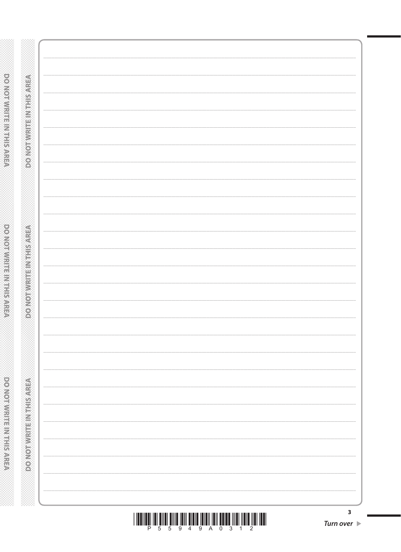| <b>DOMOTWRITEINGHISAREA</b><br> |  |
|---------------------------------|--|
|                                 |  |
|                                 |  |
|                                 |  |
|                                 |  |
|                                 |  |
|                                 |  |
|                                 |  |
|                                 |  |
|                                 |  |

DOMOTWRITE INTHIS AREA

**DO NO MINERAL PRESERVE** 

DO NOT WRITEIN THIS AREA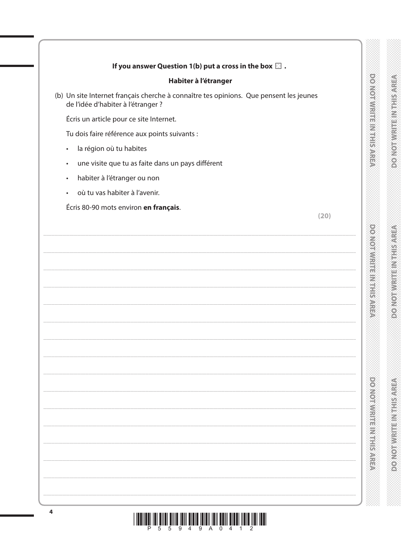| í              |   |   |  |
|----------------|---|---|--|
|                |   |   |  |
|                |   |   |  |
|                |   |   |  |
| l              |   | r |  |
| j              |   |   |  |
|                |   |   |  |
|                | I |   |  |
|                |   |   |  |
|                |   |   |  |
|                |   |   |  |
|                |   |   |  |
|                |   |   |  |
| í              |   |   |  |
|                |   |   |  |
|                |   |   |  |
|                |   |   |  |
|                |   |   |  |
| くくく            |   |   |  |
|                | ĺ |   |  |
|                |   | 1 |  |
|                |   |   |  |
|                | į |   |  |
| l              |   |   |  |
|                | ì |   |  |
| $\overline{a}$ |   |   |  |
| j              |   |   |  |
|                |   |   |  |
|                |   |   |  |
| j              |   |   |  |
|                |   |   |  |
|                |   |   |  |
| i<br>S         |   |   |  |
|                |   |   |  |
|                |   |   |  |
|                |   |   |  |
| ı              |   |   |  |
|                |   |   |  |
|                |   |   |  |
|                |   |   |  |
| i<br>S         |   |   |  |
|                |   |   |  |
|                |   |   |  |
|                |   |   |  |
|                |   |   |  |
| くうこ            |   |   |  |
|                |   |   |  |
|                |   |   |  |
|                |   |   |  |
|                |   |   |  |
|                |   |   |  |
|                |   |   |  |
|                |   |   |  |
|                |   |   |  |
|                |   |   |  |
| į              |   |   |  |
|                |   |   |  |
| ì              |   |   |  |
|                |   |   |  |
|                |   |   |  |
| i<br>S         |   |   |  |
|                |   |   |  |
|                |   |   |  |
|                |   |   |  |
|                |   |   |  |
|                |   |   |  |
|                |   |   |  |
|                |   |   |  |
|                |   |   |  |
|                |   |   |  |
|                |   |   |  |
|                |   |   |  |
|                |   |   |  |
|                | l |   |  |
|                |   |   |  |
|                |   |   |  |
| i<br>S         |   |   |  |
|                |   |   |  |
|                |   |   |  |

**DOMOROM SERVICE STATE** 

**DOMOROWING** 

**DOMOITIVE HE NEEDS ARE** 

| If you answer Question 1(b) put a cross in the box $\mathbb Z$ . |  |
|------------------------------------------------------------------|--|
|------------------------------------------------------------------|--|

## Habiter à l'étranger

(b) Un site Internet français cherche à connaître tes opinions. Que pensent les jeunes de l'idée d'habiter à l'étranger ?

Écris un article pour ce site Internet.

Tu dois faire référence aux points suivants :

- la région où tu habites  $\ddot{\phantom{0}}$
- une visite que tu as faite dans un pays différent
- habiter à l'étranger ou non
- où tu vas habiter à l'avenir.

Écris 80-90 mots environ en français.

 $(20)$ 

5 5 9 4 9 A 0 4 1 2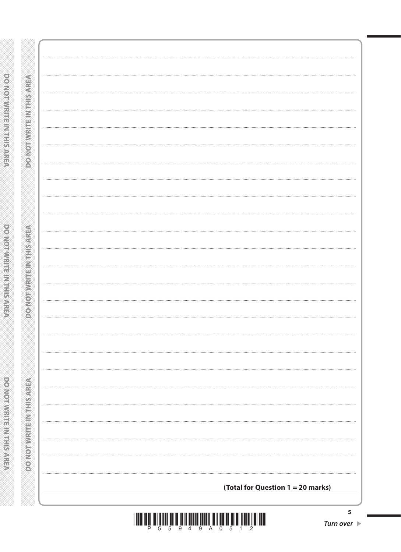| <b>DOMORAMNEEM HIS SARE</b>       | AR EA<br><b>PONOTAL REPORTS</b>                                         |                                           |
|-----------------------------------|-------------------------------------------------------------------------|-------------------------------------------|
|                                   |                                                                         |                                           |
| <b>DOMORATION IS NOT THE SAME</b> | <b>THIS AREA</b><br><b>MOTOR COMPANY</b><br>Ö                           |                                           |
| <b>DOMOTIVIRIE MARKERS</b>        | r)<br>T<br>n<br>Cal<br>$\begin{bmatrix} 0 \\ 0 \\ 0 \\ 0 \end{bmatrix}$ | <br><br>(Total for Question 1 = 20 marks) |
|                                   |                                                                         |                                           |

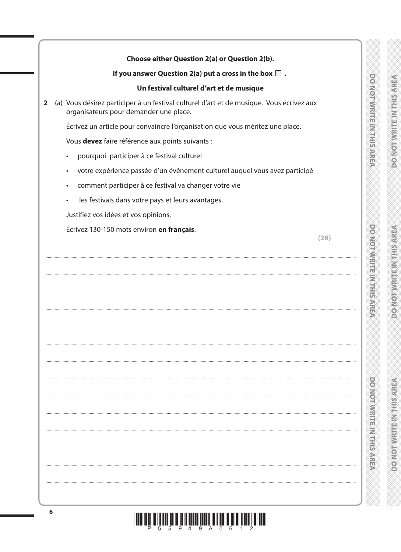| 1 |
|---|
|   |
|   |
|   |
| I |
|   |
|   |
|   |
|   |
|   |
|   |
|   |
|   |
|   |
|   |
|   |
|   |
|   |
|   |
|   |
| Ī |
|   |
|   |
|   |
|   |
|   |
|   |
|   |
|   |
|   |
|   |
|   |
|   |
|   |
|   |
|   |
|   |
|   |
|   |
|   |
|   |
|   |
|   |
|   |
|   |
|   |
|   |
|   |
|   |
|   |
|   |
|   |
|   |
|   |
|   |
|   |
|   |
|   |
|   |
|   |
|   |
|   |
|   |
|   |
|   |
|   |
|   |
|   |
|   |
|   |
| l |

**POWORMAN ENGINEERING** 

**POSTORIAL PROPERTY AND INTERNATIONAL** 

**DOCKLOSK WRITING HIS AREA** 

# Choose either Question 2(a) or Question 2(b).

#### If you answer Question 2(a) put a cross in the box  $\mathbb Z$ .

#### Un festival culturel d'art et de musique

2 (a) Vous désirez participer à un festival culturel d'art et de musique. Vous écrivez aux organisateurs pour demander une place.

Écrivez un article pour convaincre l'organisation que vous méritez une place.

Vous devez faire référence aux points suivants :

- pourquoi participer à ce festival culturel
- votre expérience passée d'un événement culturel auquel vous avez participé
- comment participer à ce festival va changer votre vie
- les festivals dans votre pays et leurs avantages.

Justifiez vos idées et vos opinions.

Écrivez 130-150 mots environ en français.

 $(28)$ 

5 5 9 4 9 A 0 6 1 2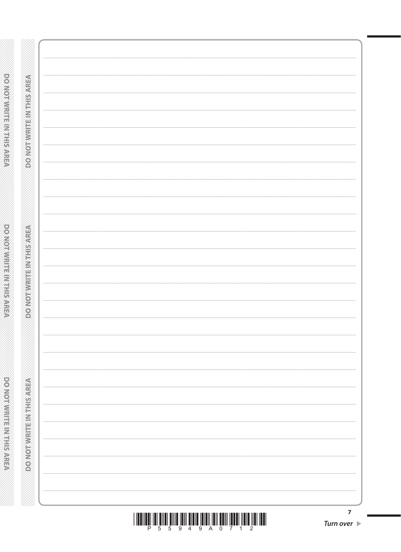| <b>DOMOTAWRITH NITHSARE</b><br><b>NOTAVERS TRANSPORT</b><br> |  |  |
|--------------------------------------------------------------|--|--|
|                                                              |  |  |
|                                                              |  |  |
|                                                              |  |  |
|                                                              |  |  |

DOMOTWRITE INTHIS AREA

**DO NO MINERAL PRESERVE** 

DO NOT WRITEIN THIS AREA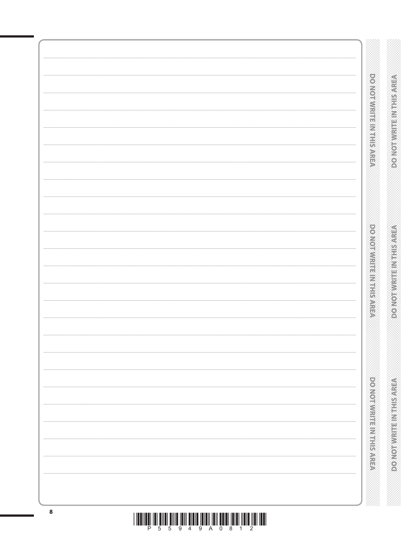|  |  |  | <u> III Alian III Alian Alian III Andal III Andal III Andal III Andal III Andal III An</u><br>P 5 5 9 4 9 A 0 8 1 2 |  |  |  |
|--|--|--|---------------------------------------------------------------------------------------------------------------------|--|--|--|
|  |  |  |                                                                                                                     |  |  |  |

e<br>No

**DONOT WRITEINTHIS AREA** 

**AFRICA HELMITED AND CONCORD** 

**DO NOT WRITEIN THIS AREA**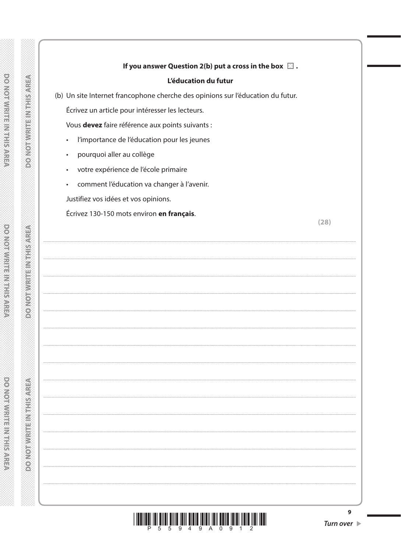### If you answer Question 2(b) put a cross in the box  $\Box$ .

#### L'éducation du futur

(b) Un site Internet francophone cherche des opinions sur l'éducation du futur.

Écrivez un article pour intéresser les lecteurs.

Vous devez faire référence aux points suivants :

- l'importance de l'éducation pour les jeunes
- pourquoi aller au collège
- votre expérience de l'école primaire
- comment l'éducation va changer à l'avenir.

Justifiez vos idées et vos opinions.

Écrivez 130-150 mots environ en français.

 $(28)$ 

**DONOINHEENEERS** 

**DOMORATEMATISTAREA** 

**DOMOTAMRETH WILSONED** 

**DONOTWRITEINTH SAREA** 

| <u>i ina ilay kaominina mpikambana amin'ny fivondronan-kaominin'i Pro</u> |  |  |        |  |  |  |
|---------------------------------------------------------------------------|--|--|--------|--|--|--|
|                                                                           |  |  | 49 A O |  |  |  |

 $\overline{9}$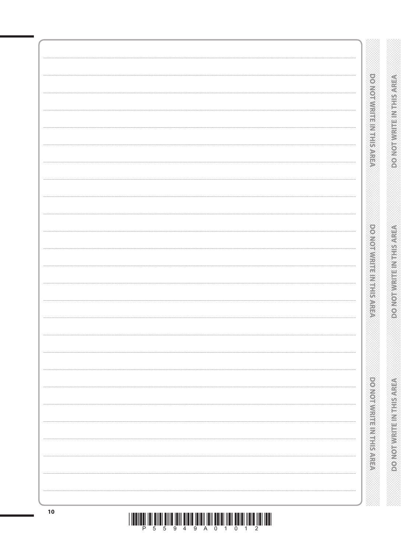| €           |
|-------------|
|             |
| Ì           |
|             |
| È<br>Ĉ      |
|             |
|             |
|             |
|             |
| Ù.          |
|             |
| Ĕ           |
|             |
|             |
|             |
|             |
| è           |
|             |
| Í           |
|             |
|             |
| Ľ           |
|             |
| ŀ           |
|             |
|             |
|             |
|             |
| 2           |
|             |
|             |
|             |
|             |
| ¢           |
|             |
|             |
|             |
|             |
|             |
| ď<br>ţ      |
|             |
| Ì           |
| Ì<br>Ì<br>ĺ |
|             |
|             |
|             |
|             |
|             |
|             |
|             |
|             |
|             |
|             |
|             |
|             |
|             |
|             |
|             |
|             |
|             |
|             |
|             |
|             |
|             |
|             |
|             |
|             |
|             |
|             |
|             |
|             |
|             |
| į           |
|             |
| 活通<br>ć     |
|             |
| Œ           |
|             |
| í<br>ć      |
|             |
|             |
|             |
|             |
| ζ           |
|             |
|             |
|             |
|             |
| Š<br>i      |
| ¥           |
| š           |
|             |
|             |
| Ì,          |
| Į           |
|             |
|             |
| Í           |
|             |
| Ě           |
|             |
| į           |
|             |
| į<br>í      |
|             |
| ¢           |
|             |
|             |
|             |
|             |
| Ï           |
|             |
|             |
|             |
|             |
|             |
|             |
|             |
|             |
|             |
|             |
|             |
|             |
|             |
|             |
|             |
|             |

|    |  |  |  | <b>DESCRIPTION OF STRAIGHT AND ASSESS</b> |
|----|--|--|--|-------------------------------------------|
|    |  |  |  |                                           |
|    |  |  |  | <b>PERMIT AND INTERNATIONAL PROPERTY</b>  |
|    |  |  |  |                                           |
| 10 |  |  |  |                                           |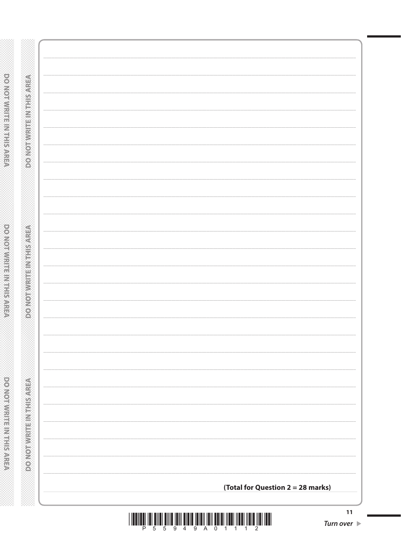| <b>DOMORATION REPORTS</b>              | <b>THE SAME OF</b>                         |                                               |
|----------------------------------------|--------------------------------------------|-----------------------------------------------|
| <b>TOWNSHIP AND THE STATE OF STATE</b> | <b>EXPERIENCE</b><br><b>CANCER HEATHER</b> |                                               |
| <b>DOMOGRAPH REGISTER</b>              | C)<br>Le<br><b>MARIAN CONCORDER</b>        | <br><br><br>(Total for Question 2 = 28 marks) |
|                                        |                                            |                                               |